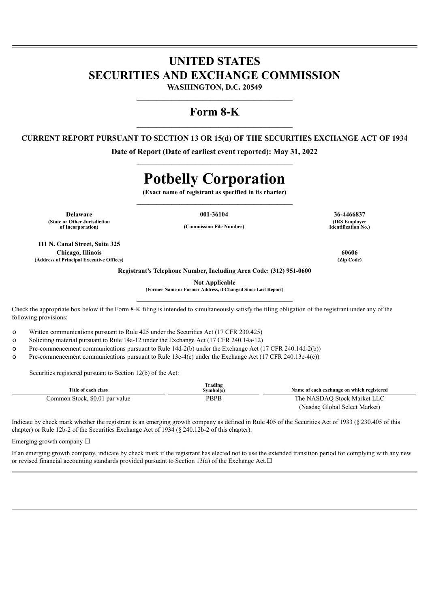## **UNITED STATES SECURITIES AND EXCHANGE COMMISSION**

**WASHINGTON, D.C. 20549** \_\_\_\_\_\_\_\_\_\_\_\_\_\_\_\_\_\_\_\_\_\_\_\_\_\_\_\_\_\_\_\_\_\_\_\_\_\_\_\_

## **Form 8-K**

### **CURRENT REPORT PURSUANT TO SECTION 13 OR 15(d) OF THE SECURITIES EXCHANGE ACT OF 1934**

**Date of Report (Date of earliest event reported): May 31, 2022**  $\mathcal{L}_\text{max}$  and  $\mathcal{L}_\text{max}$  and  $\mathcal{L}_\text{max}$  and  $\mathcal{L}_\text{max}$ 

# **Potbelly Corporation**

**(Exact name of registrant as specified in its charter)**  $\mathcal{L}_\text{max}$  and  $\mathcal{L}_\text{max}$  and  $\mathcal{L}_\text{max}$  and  $\mathcal{L}_\text{max}$ 

**Delaware 001-36104 36-4466837 (State or Other Jurisdiction**

**of Incorporation) (Commission File Number)**

**111 N. Canal Street, Suite 325 Chicago, Illinois 60606 (Address of Principal Executive Offices) (Zip Code)**

**(IRS Employer Identification No.)**

**Registrant's Telephone Number, Including Area Code: (312) 951-0600**

**Not Applicable**

**(Former Name or Former Address, if Changed Since Last Report)**  $\mathcal{L}_\text{max}$  and  $\mathcal{L}_\text{max}$  and  $\mathcal{L}_\text{max}$  and  $\mathcal{L}_\text{max}$ 

Check the appropriate box below if the Form 8-K filing is intended to simultaneously satisfy the filing obligation of the registrant under any of the following provisions:

o Written communications pursuant to Rule 425 under the Securities Act (17 CFR 230.425)

o Soliciting material pursuant to Rule 14a-12 under the Exchange Act (17 CFR 240.14a-12)

o Pre-commencement communications pursuant to Rule 14d-2(b) under the Exchange Act (17 CFR 240.14d-2(b))

o Pre-commencement communications pursuant to Rule 13e-4(c) under the Exchange Act (17 CFR 240.13e-4(c))

Securities registered pursuant to Section 12(b) of the Act:

| Title of each class            | Trading<br>Svmbol(s) | Name of each exchange on which registered |
|--------------------------------|----------------------|-------------------------------------------|
| Common Stock, \$0.01 par value | <b>PBPB</b>          | The NASDAO Stock Market LLC               |
|                                |                      | (Nasdaq Global Select Market)             |

Indicate by check mark whether the registrant is an emerging growth company as defined in Rule 405 of the Securities Act of 1933 (§ 230.405 of this chapter) or Rule 12b-2 of the Securities Exchange Act of 1934 (§ 240.12b-2 of this chapter).

Emerging growth company  $\Box$ 

If an emerging growth company, indicate by check mark if the registrant has elected not to use the extended transition period for complying with any new or revised financial accounting standards provided pursuant to Section 13(a) of the Exchange Act. $□$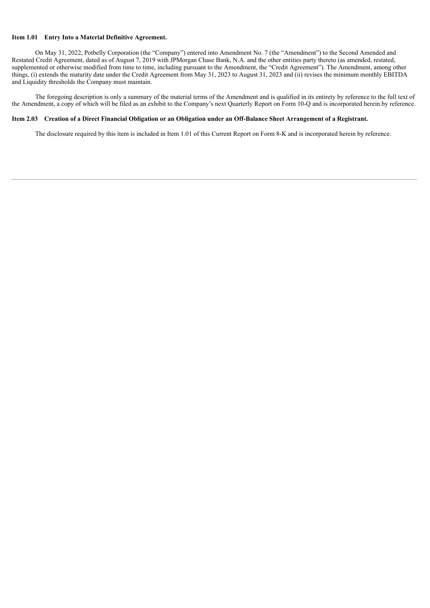#### **Item 1.01 Entry Into a Material Definitive Agreement.**

On May 31, 2022, Potbelly Corporation (the "Company") entered into Amendment No. 7 (the "Amendment") to the Second Amended and Restated Credit Agreement, dated as of August 7, 2019 with JPMorgan Chase Bank, N.A. and the other entities party thereto (as amended, restated, supplemented or otherwise modified from time to time, including pursuant to the Amendment, the "Credit Agreement"). The Amendment, among other things, (i) extends the maturity date under the Credit Agreement from May 31, 2023 to August 31, 2023 and (ii) revises the minimum monthly EBITDA and Liquidity thresholds the Company must maintain.

The foregoing description is only a summary of the material terms of the Amendment and is qualified in its entirety by reference to the full text of the Amendment, a copy of which will be filed as an exhibit to the Company's next Quarterly Report on Form 10-Q and is incorporated herein by reference.

#### Item 2.03 Creation of a Direct Financial Obligation or an Obligation under an Off-Balance Sheet Arrangement of a Registrant.

The disclosure required by this item is included in Item 1.01 of this Current Report on Form 8-K and is incorporated herein by reference.